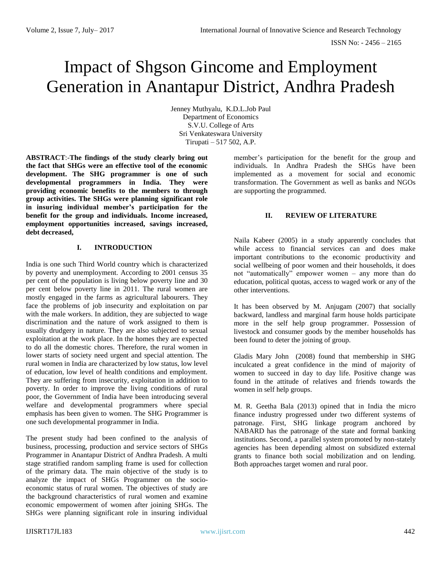# Impact of Shgson Gincome and Employment Generation in Anantapur District, Andhra Pradesh

Jenney Muthyalu, K.D.L.Job Paul Department of Economics S.V.U. College of Arts Sri Venkateswara University Tirupati – 517 502, A.P.

**ABSTRACT**:-**The findings of the study clearly bring out the fact that SHGs were an effective tool of the economic development. The SHG programmer is one of such developmental programmers in India. They were providing economic benefits to the members to through group activities. The SHGs were planning significant role in insuring individual member's participation for the benefit for the group and individuals. Income increased, employment opportunities increased, savings increased, debt decreased,**

### **I. INTRODUCTION**

India is one such Third World country which is characterized by poverty and unemployment. According to 2001 census 35 per cent of the population is living below poverty line and 30 per cent below poverty line in 2011. The rural women are mostly engaged in the farms as agricultural labourers. They face the problems of job insecurity and exploitation on par with the male workers. In addition, they are subjected to wage discrimination and the nature of work assigned to them is usually drudgery in nature. They are also subjected to sexual exploitation at the work place. In the homes they are expected to do all the domestic chores. Therefore, the rural women in lower starts of society need urgent and special attention. The rural women in India are characterized by low status, low level of education, low level of health conditions and employment. They are suffering from insecurity, exploitation in addition to poverty. In order to improve the living conditions of rural poor, the Government of India have been introducing several welfare and developmental programmers where special emphasis has been given to women. The SHG Programmer is one such developmental programmer in India.

The present study had been confined to the analysis of business, processing, production and service sectors of SHGs Programmer in Anantapur District of Andhra Pradesh. A multi stage stratified random sampling frame is used for collection of the primary data. The main objective of the study is to analyze the impact of SHGs Programmer on the socioeconomic status of rural women. The objectives of study are the background characteristics of rural women and examine economic empowerment of women after joining SHGs. The SHGs were planning significant role in insuring individual

member's participation for the benefit for the group and individuals. In Andhra Pradesh the SHGs have been implemented as a movement for social and economic transformation. The Government as well as banks and NGOs are supporting the programmed.

### **II. REVIEW OF LITERATURE**

Naila Kabeer (2005) in a study apparently concludes that while access to financial services can and does make important contributions to the economic productivity and social wellbeing of poor women and their households, it does not "automatically" empower women – any more than do education, political quotas, access to waged work or any of the other interventions.

It has been observed by M. Anjugam (2007) that socially backward, landless and marginal farm house holds participate more in the self help group programmer. Possession of livestock and consumer goods by the member households has been found to deter the joining of group.

Gladis Mary John(2008) found that membership in SHG inculcated a great confidence in the mind of majority of women to succeed in day to day life. Positive change was found in the attitude of relatives and friends towards the women in self help groups.

M. R. Geetha Bala (2013) opined that in India the micro finance industry progressed under two different systems of patronage. First, SHG linkage program anchored by NABARD has the patronage of the state and formal banking institutions. Second, a parallel system promoted by non-stately agencies has been depending almost on subsidized external grants to finance both social mobilization and on lending. Both approaches target women and rural poor.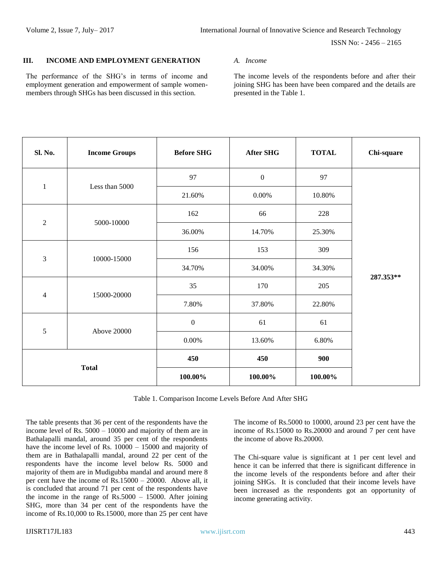### **III. INCOME AND EMPLOYMENT GENERATION**

The performance of the SHG's in terms of income and employment generation and empowerment of sample womenmembers through SHGs has been discussed in this section.

*A. Income*

The income levels of the respondents before and after their joining SHG has been have been compared and the details are presented in the Table 1.

| Sl. No.                  | <b>Income Groups</b> | <b>Before SHG</b> | <b>After SHG</b> | <b>TOTAL</b> | Chi-square |
|--------------------------|----------------------|-------------------|------------------|--------------|------------|
|                          |                      | 97                | $\boldsymbol{0}$ | 97           |            |
| $\mathbf{1}$             | Less than 5000       | 21.60%            | $0.00\%$         | 10.80%       |            |
|                          |                      | 162               | 66               | 228          |            |
| $\overline{2}$           | 5000-10000           | 36.00%            | 14.70%           | 25.30%       |            |
| $\mathfrak{Z}$           | 10000-15000          | 156               | 153              | 309          |            |
|                          |                      | 34.70%            | 34.00%           | 34.30%       |            |
| $\overline{\mathcal{A}}$ | 15000-20000          | 35                | 170              | 205          | 287.353**  |
|                          |                      | 7.80%             | 37.80%           | 22.80%       |            |
|                          |                      | $\boldsymbol{0}$  | 61               | 61           |            |
| 5                        | <b>Above 20000</b>   | $0.00\%$          | 13.60%           | 6.80%        |            |
| <b>Total</b>             |                      | 450               | 450              | 900          |            |
|                          |                      | $100.00\%$        | 100.00%          | 100.00%      |            |

Table 1. Comparison Income Levels Before And After SHG

The table presents that 36 per cent of the respondents have the income level of Rs. 5000 – 10000 and majority of them are in Bathalapalli mandal, around 35 per cent of the respondents have the income level of Rs.  $10000 - 15000$  and majority of them are in Bathalapalli mandal, around 22 per cent of the respondents have the income level below Rs. 5000 and majority of them are in Mudigubba mandal and around mere 8 per cent have the income of Rs.15000 – 20000. Above all, it is concluded that around 71 per cent of the respondents have the income in the range of  $Rs.5000 - 15000$ . After joining SHG, more than 34 per cent of the respondents have the income of Rs.10,000 to Rs.15000, more than 25 per cent have

The income of Rs.5000 to 10000, around 23 per cent have the income of Rs.15000 to Rs.20000 and around 7 per cent have the income of above Rs.20000.

The Chi-square value is significant at 1 per cent level and hence it can be inferred that there is significant difference in the income levels of the respondents before and after their joining SHGs. It is concluded that their income levels have been increased as the respondents got an opportunity of income generating activity.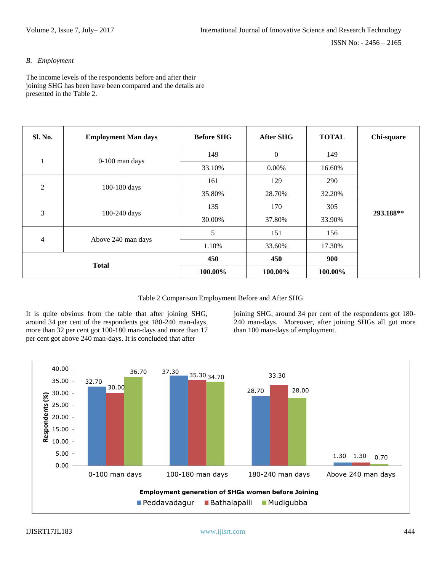## *B. Employment*

The income levels of the respondents before and after their joining SHG has been have been compared and the details are presented in the Table 2.

| Sl. No.        | <b>Employment Man days</b> | <b>Before SHG</b> | <b>After SHG</b> | <b>TOTAL</b> | Chi-square |
|----------------|----------------------------|-------------------|------------------|--------------|------------|
|                | 0-100 man days             | 149               | $\boldsymbol{0}$ | 149          |            |
| $\perp$        |                            | 33.10%            | $0.00\%$         | 16.60%       |            |
|                | 100-180 days               | 161               | 129              | 290          |            |
| $\overline{c}$ |                            | 35.80%            | 28.70%           | 32.20%       |            |
| 3              | 180-240 days               | 135               | 170              | 305          |            |
|                |                            | 30.00%            | 37.80%           | 33.90%       | 293.188**  |
|                | Above 240 man days         | 5                 | 151              | 156          |            |
| $\overline{4}$ |                            | 1.10%             | 33.60%           | 17.30%       |            |
| <b>Total</b>   |                            | 450               | 450              | 900          |            |
|                |                            | 100.00%           | 100.00%          | 100.00%      |            |

Table 2 Comparison Employment Before and After SHG

It is quite obvious from the table that after joining SHG, around 34 per cent of the respondents got 180-240 man-days, more than 32 per cent got 100-180 man-days and more than 17 per cent got above 240 man-days. It is concluded that after

joining SHG, around 34 per cent of the respondents got 180- 240 man-days. Moreover, after joining SHGs all got more than 100 man-days of employment.

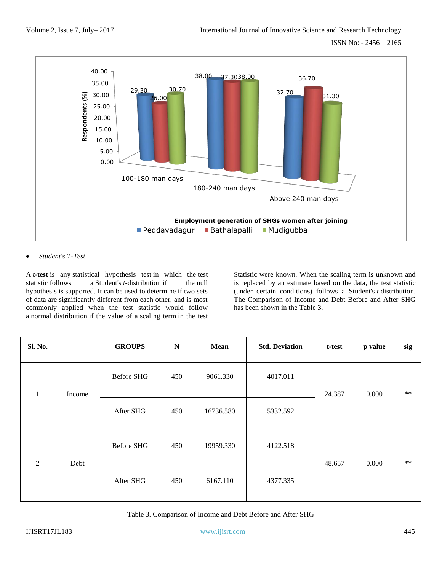

### • *Student's T-Test*

A *t***-test** is any statistical hypothesis test in which the test statistic follows a Student's *t*-distribution if the null hypothesis is supported. It can be used to determine if two sets of data are significantly different from each other, and is most commonly applied when the test statistic would follow a normal distribution if the value of a scaling term in the test

Statistic were known. When the scaling term is unknown and is replaced by an estimate based on the data, the test statistic (under certain conditions) follows a Student's *t* distribution. The Comparison of Income and Debt Before and After SHG has been shown in the Table 3.

| Sl. No.        |        | <b>GROUPS</b>     | ${\bf N}$ | Mean      | <b>Std. Deviation</b> | t-test | p value | sig  |
|----------------|--------|-------------------|-----------|-----------|-----------------------|--------|---------|------|
| $\mathbf{1}$   | Income | <b>Before SHG</b> | 450       | 9061.330  | 4017.011              | 24.387 | 0.000   | $**$ |
|                |        | After SHG         | 450       | 16736.580 | 5332.592              |        |         |      |
| $\overline{2}$ | Debt   | Before SHG        | 450       | 19959.330 | 4122.518              | 48.657 | 0.000   | $**$ |
|                |        | After SHG         | 450       | 6167.110  | 4377.335              |        |         |      |

Table 3. Comparison of Income and Debt Before and After SHG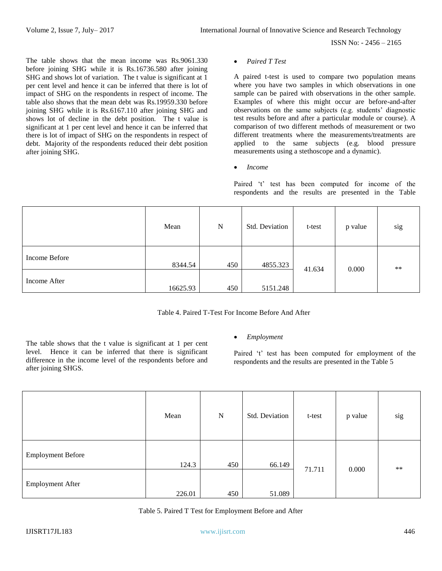The table shows that the mean income was Rs.9061.330 before joining SHG while it is Rs.16736.580 after joining SHG and shows lot of variation. The t value is significant at 1 per cent level and hence it can be inferred that there is lot of impact of SHG on the respondents in respect of income. The table also shows that the mean debt was Rs.19959.330 before joining SHG while it is Rs.6167.110 after joining SHG and shows lot of decline in the debt position. The t value is significant at 1 per cent level and hence it can be inferred that there is lot of impact of SHG on the respondents in respect of debt. Majority of the respondents reduced their debt position after joining SHG.

#### • *Paired T Test*

A paired t-test is used to compare two population means where you have two samples in which observations in one sample can be paired with observations in the other sample. Examples of where this might occur are before-and-after observations on the same subjects (e.g. students' diagnostic test results before and after a particular module or course). A comparison of two different methods of measurement or two different treatments where the measurements/treatments are applied to the same subjects (e.g. blood pressure measurements using a stethoscope and a dynamic).

• *Income*

Paired 't' test has been computed for income of the respondents and the results are presented in the Table

|               | Mean     | N   | Std. Deviation | t-test | p value | sig  |
|---------------|----------|-----|----------------|--------|---------|------|
| Income Before | 8344.54  | 450 | 4855.323       | 41.634 | 0.000   | $**$ |
| Income After  | 16625.93 | 450 | 5151.248       |        |         |      |

The table shows that the t value is significant at 1 per cent level. Hence it can be inferred that there is significant difference in the income level of the respondents before and after joining SHGS.

### • *Employment*

Paired 't' test has been computed for employment of the respondents and the results are presented in the Table 5

|                          | Mean   | $\mathbf N$ | Std. Deviation | t-test | p value | sig  |
|--------------------------|--------|-------------|----------------|--------|---------|------|
| <b>Employment Before</b> | 124.3  | 450         | 66.149         |        |         |      |
| <b>Employment After</b>  | 226.01 | 450         | 51.089         | 71.711 | 0.000   | $**$ |

Table 5. Paired T Test for Employment Before and After